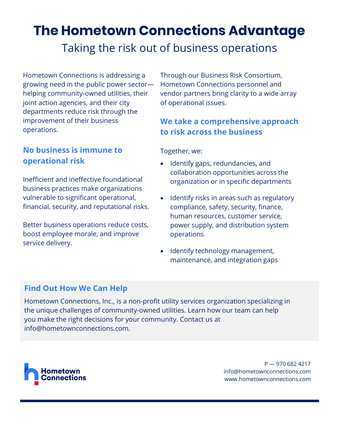# **The Hometown Connections Advantage**

## Taking the risk out of business operations

Hometown Connections is addressing a growing need in the public power sector helping community-owned utilities, their joint action agencies, and their city departments reduce risk through the improvement of their business operations.

#### **No business is immune to operational risk**

Inefficient and ineffective foundational business practices make organizations vulnerable to significant operational, financial, security, and reputational risks.

Better business operations reduce costs, boost employee morale, and improve service delivery.

Through our Business Risk Consortium, Hometown Connections personnel and vendor partners bring clarity to a wide array of operational issues.

#### **We take a comprehensive approach to risk across the business**

Together, we:

- Identify gaps, redundancies, and collaboration opportunities across the organization or in specific departments
- Identify risks in areas such as regulatory compliance, safety, security, finance, human resources, customer service, power supply, and distribution system operations
- Identify technology management, maintenance, and integration gaps

#### **Find Out How We Can Help**

Hometown Connections, Inc., is a non-profit utility services organization specializing in the unique challenges of community-owned utilities. Learn how our team can help you make the right decisions for your community. Contact us at info@hometownconnections.com.



P — 970 682 4217 info@hometownconnections.com www.hometownconnections.com